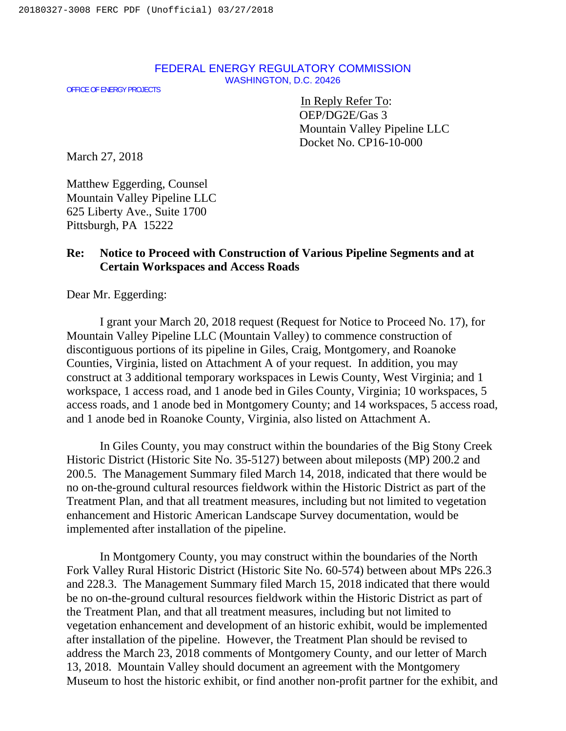## FEDERAL ENERGY REGULATORY COMMISSION WASHINGTON, D.C. 20426

OFFICE OF ENERGY PROJECTS

In Reply Refer To: OEP/DG2E/Gas 3 Mountain Valley Pipeline LLC Docket No. CP16-10-000

March 27, 2018

Matthew Eggerding, Counsel Mountain Valley Pipeline LLC 625 Liberty Ave., Suite 1700 Pittsburgh, PA 15222

## **Re: Notice to Proceed with Construction of Various Pipeline Segments and at Certain Workspaces and Access Roads**

Dear Mr. Eggerding:

I grant your March 20, 2018 request (Request for Notice to Proceed No. 17), for Mountain Valley Pipeline LLC (Mountain Valley) to commence construction of discontiguous portions of its pipeline in Giles, Craig, Montgomery, and Roanoke Counties, Virginia, listed on Attachment A of your request. In addition, you may construct at 3 additional temporary workspaces in Lewis County, West Virginia; and 1 workspace, 1 access road, and 1 anode bed in Giles County, Virginia; 10 workspaces, 5 access roads, and 1 anode bed in Montgomery County; and 14 workspaces, 5 access road, and 1 anode bed in Roanoke County, Virginia, also listed on Attachment A.

In Giles County, you may construct within the boundaries of the Big Stony Creek Historic District (Historic Site No. 35-5127) between about mileposts (MP) 200.2 and 200.5. The Management Summary filed March 14, 2018, indicated that there would be no on-the-ground cultural resources fieldwork within the Historic District as part of the Treatment Plan, and that all treatment measures, including but not limited to vegetation enhancement and Historic American Landscape Survey documentation, would be implemented after installation of the pipeline.

In Montgomery County, you may construct within the boundaries of the North Fork Valley Rural Historic District (Historic Site No. 60-574) between about MPs 226.3 and 228.3. The Management Summary filed March 15, 2018 indicated that there would be no on-the-ground cultural resources fieldwork within the Historic District as part of the Treatment Plan, and that all treatment measures, including but not limited to vegetation enhancement and development of an historic exhibit, would be implemented after installation of the pipeline. However, the Treatment Plan should be revised to address the March 23, 2018 comments of Montgomery County, and our letter of March 13, 2018. Mountain Valley should document an agreement with the Montgomery Museum to host the historic exhibit, or find another non-profit partner for the exhibit, and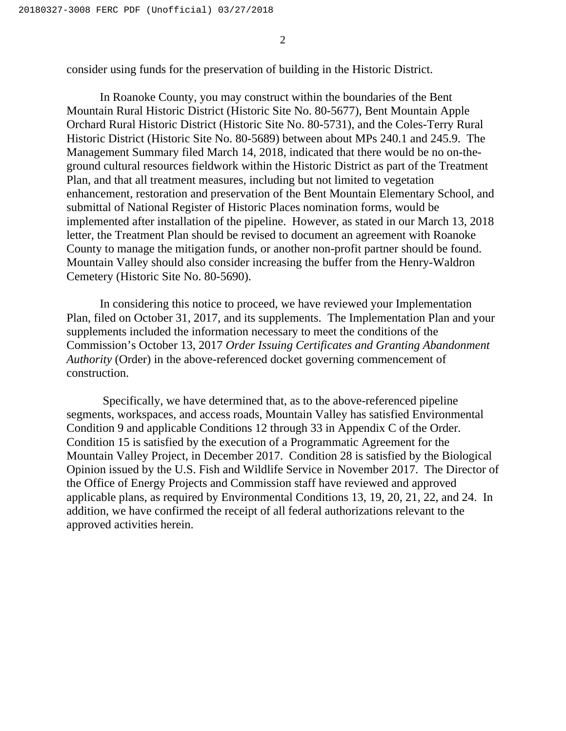2

consider using funds for the preservation of building in the Historic District.

In Roanoke County, you may construct within the boundaries of the Bent Mountain Rural Historic District (Historic Site No. 80-5677), Bent Mountain Apple Orchard Rural Historic District (Historic Site No. 80-5731), and the Coles-Terry Rural Historic District (Historic Site No. 80-5689) between about MPs 240.1 and 245.9. The Management Summary filed March 14, 2018, indicated that there would be no on-theground cultural resources fieldwork within the Historic District as part of the Treatment Plan, and that all treatment measures, including but not limited to vegetation enhancement, restoration and preservation of the Bent Mountain Elementary School, and submittal of National Register of Historic Places nomination forms, would be implemented after installation of the pipeline. However, as stated in our March 13, 2018 letter, the Treatment Plan should be revised to document an agreement with Roanoke County to manage the mitigation funds, or another non-profit partner should be found. Mountain Valley should also consider increasing the buffer from the Henry-Waldron Cemetery (Historic Site No. 80-5690).

In considering this notice to proceed, we have reviewed your Implementation Plan, filed on October 31, 2017, and its supplements.The Implementation Plan and your supplements included the information necessary to meet the conditions of the Commission's October 13, 2017 *Order Issuing Certificates and Granting Abandonment Authority* (Order) in the above-referenced docket governing commencement of construction.

 Specifically, we have determined that, as to the above-referenced pipeline segments, workspaces, and access roads, Mountain Valley has satisfied Environmental Condition 9 and applicable Conditions 12 through 33 in Appendix C of the Order. Condition 15 is satisfied by the execution of a Programmatic Agreement for the Mountain Valley Project, in December 2017. Condition 28 is satisfied by the Biological Opinion issued by the U.S. Fish and Wildlife Service in November 2017. The Director of the Office of Energy Projects and Commission staff have reviewed and approved applicable plans, as required by Environmental Conditions 13, 19, 20, 21, 22, and 24. In addition, we have confirmed the receipt of all federal authorizations relevant to the approved activities herein.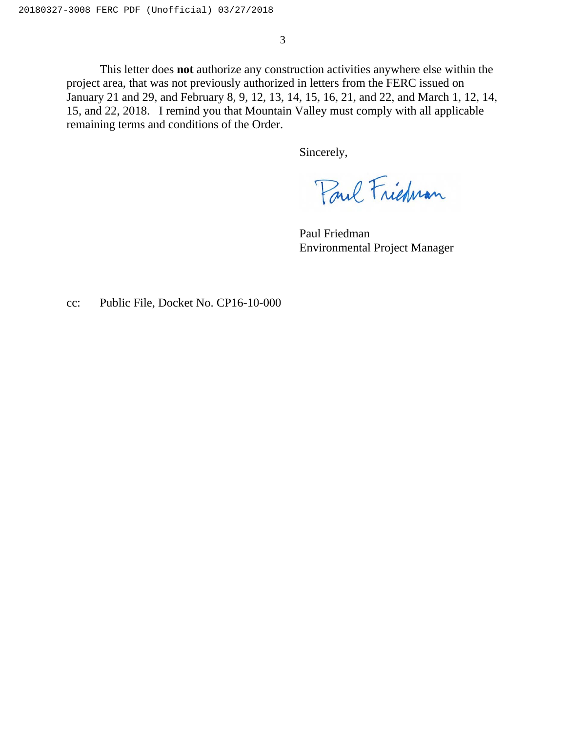3

This letter does **not** authorize any construction activities anywhere else within the project area, that was not previously authorized in letters from the FERC issued on January 21 and 29, and February 8, 9, 12, 13, 14, 15, 16, 21, and 22, and March 1, 12, 14, 15, and 22, 2018. I remind you that Mountain Valley must comply with all applicable remaining terms and conditions of the Order.

Sincerely,

Paul Frichnan

 Paul Friedman Environmental Project Manager

cc: Public File, Docket No. CP16-10-000